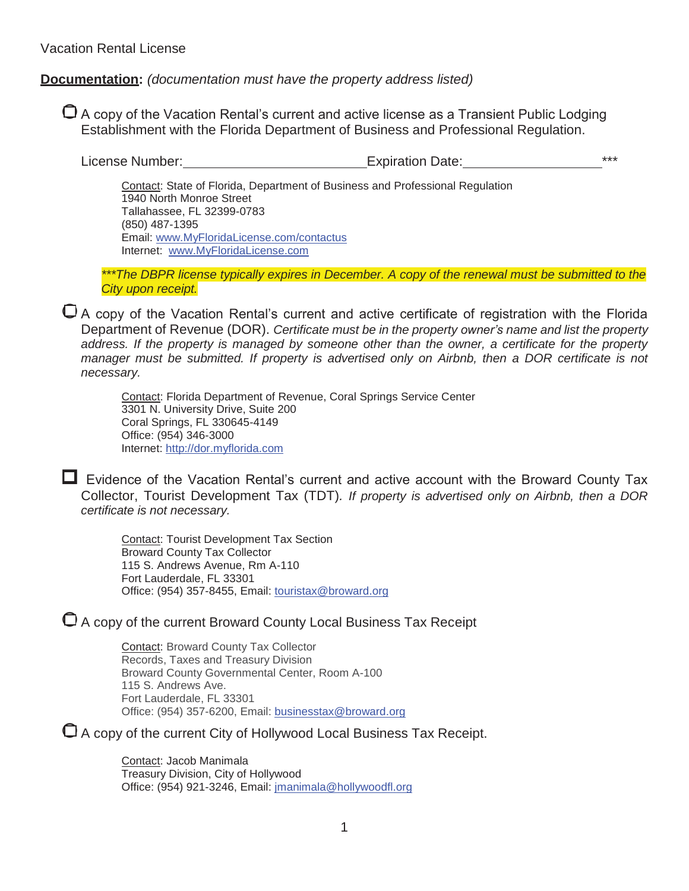## **Documentation:** *(documentation must have the property address listed)*

 A copy of the Vacation Rental's current and active license as a Transient Public Lodging Establishment with the Florida Department of Business and Professional Regulation.

| License Number:<br><b>Expiration Date:</b> |  |
|--------------------------------------------|--|
|--------------------------------------------|--|

Contact: State of Florida, Department of Business and Professional Regulation 1940 North Monroe Street Tallahassee, FL 32399-0783 (850) 487-1395 Email: [www.MyFloridaLicense.com/contactus](http://www.myfloridalicense.com/contactus) Internet: [www.MyFloridaLicense.com](http://www.myfloridalicense.com/)

*\*\*\*The DBPR license typically expires in December. A copy of the renewal must be submitted to the City upon receipt.*

 A copy of the Vacation Rental's current and active certificate of registration with the Florida Department of Revenue (DOR). *Certificate must be in the property owner's name and list the property address. If the property is managed by someone other than the owner, a certificate for the property manager must be submitted. If property is advertised only on Airbnb, then a DOR certificate is not necessary.*

Contact: Florida Department of Revenue, Coral Springs Service Center 3301 N. University Drive, Suite 200 Coral Springs, FL 330645-4149 Office: (954) 346-3000 Internet: [http://dor.myflorida.com](http://dor.myflorida.com/)

 $\Box$  Evidence of the Vacation Rental's current and active account with the Broward County Tax Collector, Tourist Development Tax (TDT)*. If property is advertised only on Airbnb, then a DOR certificate is not necessary.*

Contact: Tourist Development Tax Section Broward County Tax Collector 115 S. Andrews Avenue, Rm A-110 Fort Lauderdale, FL 33301 Office: (954) 357-8455, Email: [touristax@broward.org](mailto:touristax@broward.org)

A copy of the current Broward County Local Business Tax Receipt

Contact: Broward County Tax Collector Records, Taxes and Treasury Division Broward County Governmental Center, Room A-100 115 S. Andrews Ave. Fort Lauderdale, FL 33301 Office: (954) 357-6200, Email: [businesstax@broward.org](mailto:businesstax@broward.org)

A copy of the current City of Hollywood Local Business Tax Receipt.

Contact: Jacob Manimala Treasury Division, City of Hollywood Office: (954) 921-3246, Email: [jmanim](mailto:jmanimala@hollywoodfl.org)[ala@hollywoodfl.org](mailto:ala@hollywoodfl.org)